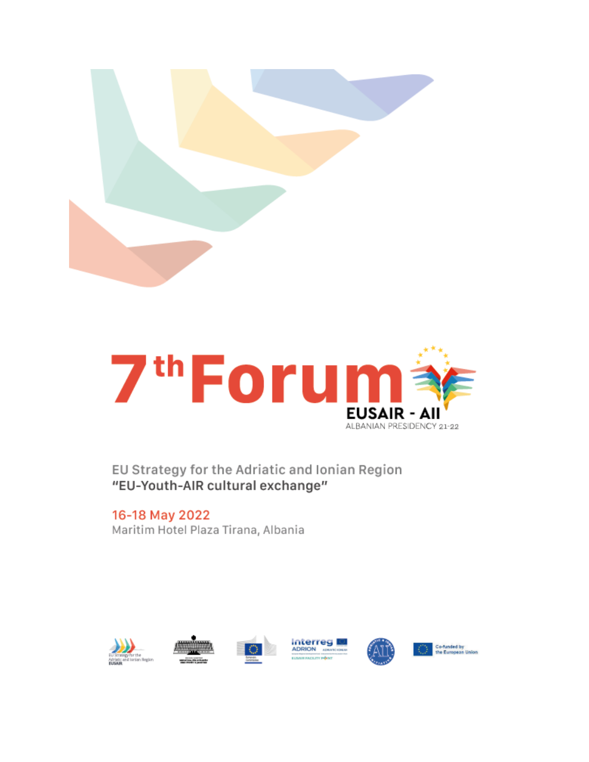



EU Strategy for the Adriatic and Ionian Region "EU-Youth-AIR cultural exchange"

16-18 May 2022 Maritim Hotel Plaza Tirana, Albania











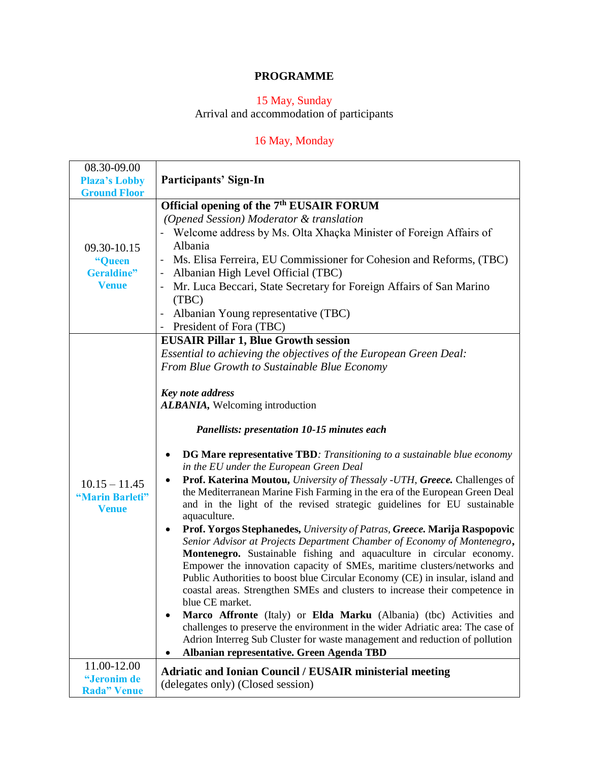### **PROGRAMME**

#### 15 May, Sunday

Arrival and accommodation of participants

# 16 May, Monday

| 08.30-09.00                                                |                                                                                                                                                                                                                                                                                                                                                                                                                                                                                                                                                                                                                                                                                                                                                                                                                                                                                                                                                                                                                                                                                                                                                                                                                                                                                                                                                                                                                                                                                   |
|------------------------------------------------------------|-----------------------------------------------------------------------------------------------------------------------------------------------------------------------------------------------------------------------------------------------------------------------------------------------------------------------------------------------------------------------------------------------------------------------------------------------------------------------------------------------------------------------------------------------------------------------------------------------------------------------------------------------------------------------------------------------------------------------------------------------------------------------------------------------------------------------------------------------------------------------------------------------------------------------------------------------------------------------------------------------------------------------------------------------------------------------------------------------------------------------------------------------------------------------------------------------------------------------------------------------------------------------------------------------------------------------------------------------------------------------------------------------------------------------------------------------------------------------------------|
| <b>Plaza's Lobby</b>                                       | Participants' Sign-In                                                                                                                                                                                                                                                                                                                                                                                                                                                                                                                                                                                                                                                                                                                                                                                                                                                                                                                                                                                                                                                                                                                                                                                                                                                                                                                                                                                                                                                             |
| <b>Ground Floor</b>                                        |                                                                                                                                                                                                                                                                                                                                                                                                                                                                                                                                                                                                                                                                                                                                                                                                                                                                                                                                                                                                                                                                                                                                                                                                                                                                                                                                                                                                                                                                                   |
| 09.30-10.15<br>"Queen<br><b>Geraldine"</b><br><b>Venue</b> | Official opening of the 7 <sup>th</sup> EUSAIR FORUM<br>(Opened Session) Moderator & translation<br>- Welcome address by Ms. Olta Xhaçka Minister of Foreign Affairs of<br>Albania<br>Ms. Elisa Ferreira, EU Commissioner for Cohesion and Reforms, (TBC)<br>$\overline{\phantom{0}}$<br>Albanian High Level Official (TBC)<br>$\overline{\phantom{0}}$<br>Mr. Luca Beccari, State Secretary for Foreign Affairs of San Marino<br>(TBC)<br>Albanian Young representative (TBC)<br>$\qquad \qquad \blacksquare$                                                                                                                                                                                                                                                                                                                                                                                                                                                                                                                                                                                                                                                                                                                                                                                                                                                                                                                                                                    |
|                                                            | President of Fora (TBC)                                                                                                                                                                                                                                                                                                                                                                                                                                                                                                                                                                                                                                                                                                                                                                                                                                                                                                                                                                                                                                                                                                                                                                                                                                                                                                                                                                                                                                                           |
| $10.15 - 11.45$<br>"Marin Barleti"<br><b>Venue</b>         | <b>EUSAIR Pillar 1, Blue Growth session</b><br>Essential to achieving the objectives of the European Green Deal:<br>From Blue Growth to Sustainable Blue Economy<br>Key note address<br>ALBANIA, Welcoming introduction<br><b>Panellists: presentation 10-15 minutes each</b><br><b>DG Mare representative TBD</b> : Transitioning to a sustainable blue economy<br>٠<br>in the EU under the European Green Deal<br>Prof. Katerina Moutou, University of Thessaly -UTH, Greece. Challenges of<br>$\bullet$<br>the Mediterranean Marine Fish Farming in the era of the European Green Deal<br>and in the light of the revised strategic guidelines for EU sustainable<br>aquaculture.<br>Prof. Yorgos Stephanedes, University of Patras, Greece. Marija Raspopovic<br>٠<br>Senior Advisor at Projects Department Chamber of Economy of Montenegro,<br>Montenegro. Sustainable fishing and aquaculture in circular economy.<br>Empower the innovation capacity of SMEs, maritime clusters/networks and<br>Public Authorities to boost blue Circular Economy (CE) in insular, island and<br>coastal areas. Strengthen SMEs and clusters to increase their competence in<br>blue CE market.<br>Marco Affronte (Italy) or Elda Marku (Albania) (tbc) Activities and<br>٠<br>challenges to preserve the environment in the wider Adriatic area: The case of<br>Adrion Interreg Sub Cluster for waste management and reduction of pollution<br>Albanian representative. Green Agenda TBD |
| 11.00-12.00<br>"Jeronim de<br><b>Rada</b> " Venue          | <b>Adriatic and Ionian Council / EUSAIR ministerial meeting</b><br>(delegates only) (Closed session)                                                                                                                                                                                                                                                                                                                                                                                                                                                                                                                                                                                                                                                                                                                                                                                                                                                                                                                                                                                                                                                                                                                                                                                                                                                                                                                                                                              |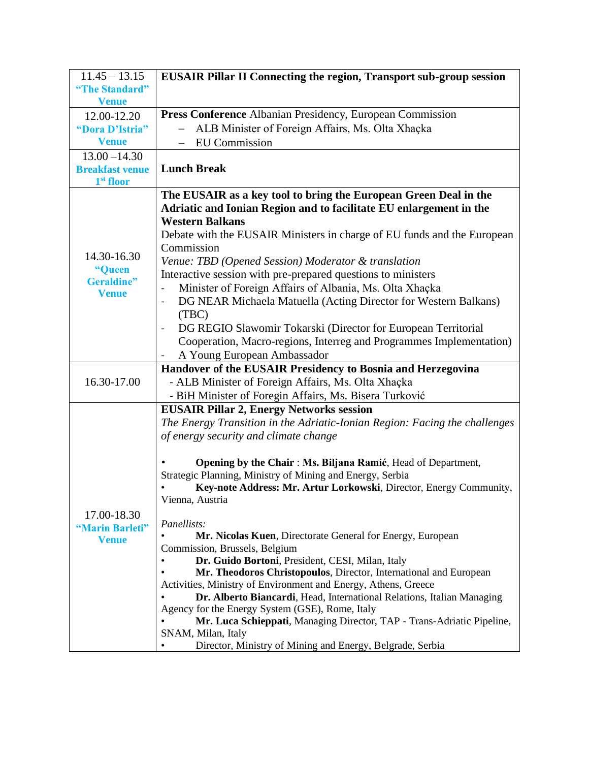| $11.45 - 13.15$        | <b>EUSAIR Pillar II Connecting the region, Transport sub-group session</b>                                                      |
|------------------------|---------------------------------------------------------------------------------------------------------------------------------|
| "The Standard"         |                                                                                                                                 |
| <b>Venue</b>           |                                                                                                                                 |
| 12.00-12.20            | Press Conference Albanian Presidency, European Commission                                                                       |
| "Dora D'Istria"        | ALB Minister of Foreign Affairs, Ms. Olta Xhaçka                                                                                |
| <b>Venue</b>           | <b>EU</b> Commission                                                                                                            |
| $13.00 - 14.30$        |                                                                                                                                 |
| <b>Breakfast venue</b> | <b>Lunch Break</b>                                                                                                              |
| $1st$ floor            |                                                                                                                                 |
|                        | The EUSAIR as a key tool to bring the European Green Deal in the                                                                |
|                        | Adriatic and Ionian Region and to facilitate EU enlargement in the                                                              |
|                        | <b>Western Balkans</b>                                                                                                          |
|                        | Debate with the EUSAIR Ministers in charge of EU funds and the European                                                         |
| 14.30-16.30            | Commission                                                                                                                      |
| "Queen                 | Venue: TBD (Opened Session) Moderator & translation                                                                             |
| <b>Geraldine"</b>      | Interactive session with pre-prepared questions to ministers                                                                    |
| <b>Venue</b>           | Minister of Foreign Affairs of Albania, Ms. Olta Xhaçka<br>$\qquad \qquad \blacksquare$                                         |
|                        | DG NEAR Michaela Matuella (Acting Director for Western Balkans)<br>$\overline{a}$                                               |
|                        | (TBC)                                                                                                                           |
|                        | DG REGIO Slawomir Tokarski (Director for European Territorial<br>$\qquad \qquad$                                                |
|                        | Cooperation, Macro-regions, Interreg and Programmes Implementation)                                                             |
|                        | A Young European Ambassador                                                                                                     |
|                        | Handover of the EUSAIR Presidency to Bosnia and Herzegovina                                                                     |
| 16.30-17.00            | - ALB Minister of Foreign Affairs, Ms. Olta Xhaçka                                                                              |
|                        | - BiH Minister of Foregin Affairs, Ms. Bisera Turković                                                                          |
|                        | <b>EUSAIR Pillar 2, Energy Networks session</b>                                                                                 |
|                        | The Energy Transition in the Adriatic-Ionian Region: Facing the challenges                                                      |
|                        | of energy security and climate change                                                                                           |
|                        |                                                                                                                                 |
|                        | Opening by the Chair: Ms. Biljana Ramić, Head of Department,                                                                    |
|                        | Strategic Planning, Ministry of Mining and Energy, Serbia<br>Key-note Address: Mr. Artur Lorkowski, Director, Energy Community, |
|                        | Vienna, Austria                                                                                                                 |
| 17.00-18.30            |                                                                                                                                 |
| "Marin Barleti"        | Panellists:                                                                                                                     |
| <b>Venue</b>           | Mr. Nicolas Kuen, Directorate General for Energy, European                                                                      |
|                        | Commission, Brussels, Belgium                                                                                                   |
|                        | Dr. Guido Bortoni, President, CESI, Milan, Italy<br>$\bullet$                                                                   |
|                        | Mr. Theodoros Christopoulos, Director, International and European                                                               |
|                        | Activities, Ministry of Environment and Energy, Athens, Greece                                                                  |
|                        | Dr. Alberto Biancardi, Head, International Relations, Italian Managing<br>Agency for the Energy System (GSE), Rome, Italy       |
|                        | Mr. Luca Schieppati, Managing Director, TAP - Trans-Adriatic Pipeline,                                                          |
|                        | SNAM, Milan, Italy                                                                                                              |
|                        | Director, Ministry of Mining and Energy, Belgrade, Serbia                                                                       |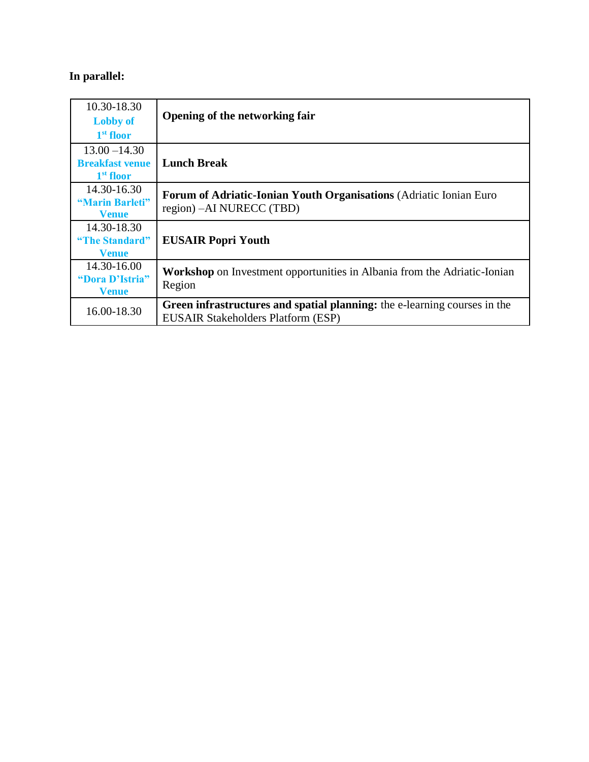# **In parallel:**

| 10.30-18.30<br><b>Lobby of</b>                  | Opening of the networking fair                                                                                         |
|-------------------------------------------------|------------------------------------------------------------------------------------------------------------------------|
| 1 <sup>st</sup> floor<br>$13.00 - 14.30$        |                                                                                                                        |
| <b>Breakfast venue</b><br>1 <sup>st</sup> floor | <b>Lunch Break</b>                                                                                                     |
| 14.30-16.30<br>"Marin Barleti"<br><b>Venue</b>  | Forum of Adriatic-Ionian Youth Organisations (Adriatic Ionian Euro<br>region) – AI NURECC (TBD)                        |
| 14.30-18.30<br>"The Standard"<br><b>Venue</b>   | <b>EUSAIR Popri Youth</b>                                                                                              |
| 14.30-16.00<br>"Dora D'Istria"<br><b>Venue</b>  | <b>Workshop</b> on Investment opportunities in Albania from the Adriatic-Ionian<br>Region                              |
| 16.00-18.30                                     | Green infrastructures and spatial planning: the e-learning courses in the<br><b>EUSAIR Stakeholders Platform (ESP)</b> |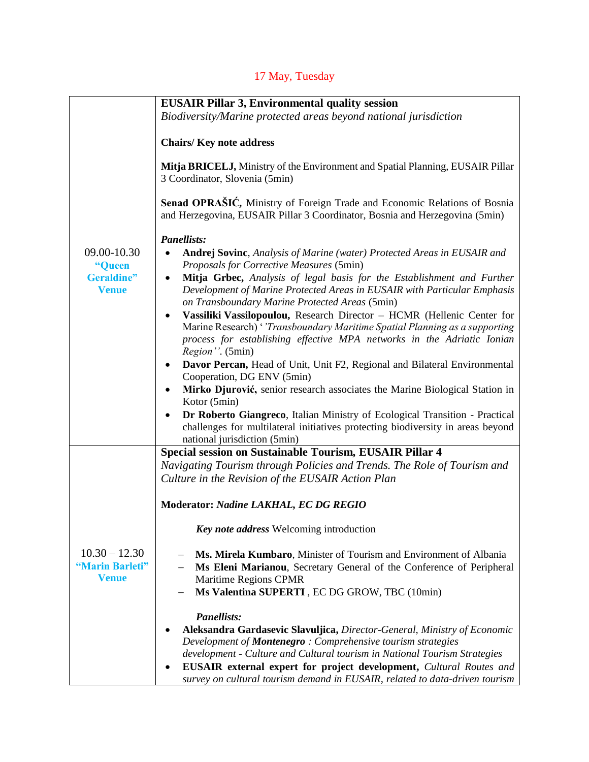# 17 May, Tuesday

|                                                    | <b>EUSAIR Pillar 3, Environmental quality session</b>                                                                                                                                                                                              |
|----------------------------------------------------|----------------------------------------------------------------------------------------------------------------------------------------------------------------------------------------------------------------------------------------------------|
|                                                    | Biodiversity/Marine protected areas beyond national jurisdiction                                                                                                                                                                                   |
|                                                    |                                                                                                                                                                                                                                                    |
|                                                    | <b>Chairs/Key note address</b>                                                                                                                                                                                                                     |
|                                                    | Mitja BRICELJ, Ministry of the Environment and Spatial Planning, EUSAIR Pillar<br>3 Coordinator, Slovenia (5min)                                                                                                                                   |
|                                                    | Senad OPRAŠIĆ, Ministry of Foreign Trade and Economic Relations of Bosnia<br>and Herzegovina, EUSAIR Pillar 3 Coordinator, Bosnia and Herzegovina (5min)                                                                                           |
|                                                    | <b>Panellists:</b>                                                                                                                                                                                                                                 |
| 09.00-10.30<br>"Queen                              | Andrej Sovinc, Analysis of Marine (water) Protected Areas in EUSAIR and<br>$\bullet$<br>Proposals for Corrective Measures (5min)                                                                                                                   |
| <b>Geraldine"</b><br><b>Venue</b>                  | Mitja Grbec, Analysis of legal basis for the Establishment and Further<br>$\bullet$<br>Development of Marine Protected Areas in EUSAIR with Particular Emphasis<br>on Transboundary Marine Protected Areas (5min)                                  |
|                                                    | Vassiliki Vassilopoulou, Research Director - HCMR (Hellenic Center for<br>Marine Research) ' 'Transboundary Maritime Spatial Planning as a supporting<br>process for establishing effective MPA networks in the Adriatic Ionian<br>Region". (5min) |
|                                                    | Davor Percan, Head of Unit, Unit F2, Regional and Bilateral Environmental<br>Cooperation, DG ENV (5min)                                                                                                                                            |
|                                                    | Mirko Djurović, senior research associates the Marine Biological Station in<br>Kotor (5min)                                                                                                                                                        |
|                                                    | Dr Roberto Giangreco, Italian Ministry of Ecological Transition - Practical<br>$\bullet$<br>challenges for multilateral initiatives protecting biodiversity in areas beyond<br>national jurisdiction (5min)                                        |
|                                                    | Special session on Sustainable Tourism, EUSAIR Pillar 4                                                                                                                                                                                            |
|                                                    | Navigating Tourism through Policies and Trends. The Role of Tourism and<br>Culture in the Revision of the EUSAIR Action Plan                                                                                                                       |
|                                                    | Moderator: Nadine LAKHAL, EC DG REGIO                                                                                                                                                                                                              |
|                                                    | Key note address Welcoming introduction                                                                                                                                                                                                            |
| $10.30 - 12.30$<br>"Marin Barleti"<br><b>Venue</b> | Ms. Mirela Kumbaro, Minister of Tourism and Environment of Albania<br>Ms Eleni Marianou, Secretary General of the Conference of Peripheral<br>Maritime Regions CPMR<br>Ms Valentina SUPERTI, EC DG GROW, TBC (10min)                               |
|                                                    |                                                                                                                                                                                                                                                    |
|                                                    | <b>Panellists:</b>                                                                                                                                                                                                                                 |
|                                                    | Aleksandra Gardasevic Slavuljica, Director-General, Ministry of Economic                                                                                                                                                                           |
|                                                    | Development of <b>Montenegro</b> : Comprehensive tourism strategies                                                                                                                                                                                |
|                                                    | development - Culture and Cultural tourism in National Tourism Strategies                                                                                                                                                                          |
|                                                    | <b>EUSAIR</b> external expert for project development, Cultural Routes and<br>survey on cultural tourism demand in EUSAIR, related to data-driven tourism                                                                                          |
|                                                    |                                                                                                                                                                                                                                                    |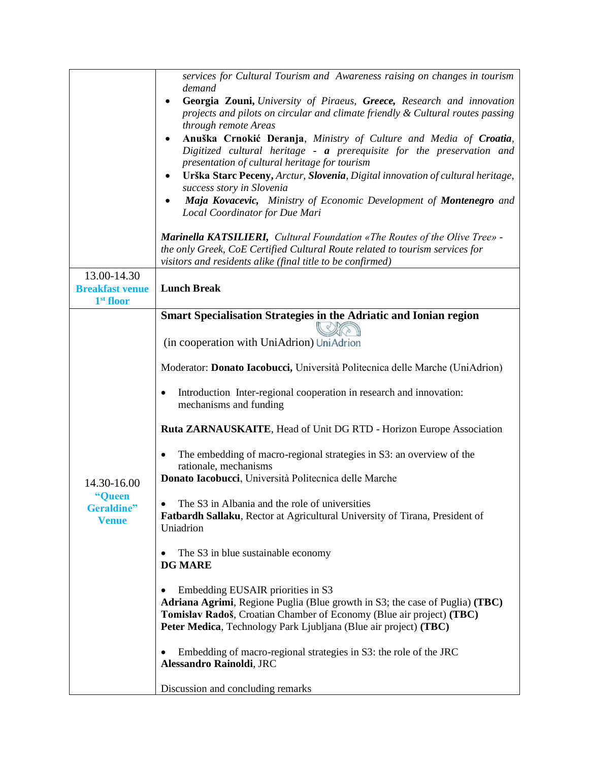|                                                 | services for Cultural Tourism and Awareness raising on changes in tourism<br>demand                                                                                                                                                                                                        |
|-------------------------------------------------|--------------------------------------------------------------------------------------------------------------------------------------------------------------------------------------------------------------------------------------------------------------------------------------------|
|                                                 | Georgia Zouni, University of Piraeus, Greece, Research and innovation<br>projects and pilots on circular and climate friendly & Cultural routes passing<br>through remote Areas                                                                                                            |
|                                                 | Anuška Crnokić Deranja, Ministry of Culture and Media of Croatia,<br>Digitized cultural heritage - a prerequisite for the preservation and<br>presentation of cultural heritage for tourism<br>Urška Starc Peceny, Arctur, Slovenia, Digital innovation of cultural heritage,<br>$\bullet$ |
|                                                 | success story in Slovenia<br>Maja Kovacevic, Ministry of Economic Development of Montenegro and<br>Local Coordinator for Due Mari                                                                                                                                                          |
|                                                 | <b>Marinella KATSILIERI,</b> Cultural Foundation «The Routes of the Olive Tree» -<br>the only Greek, CoE Certified Cultural Route related to tourism services for<br>visitors and residents alike (final title to be confirmed)                                                            |
| 13.00-14.30                                     |                                                                                                                                                                                                                                                                                            |
| <b>Breakfast venue</b><br>1 <sup>st</sup> floor | <b>Lunch Break</b>                                                                                                                                                                                                                                                                         |
|                                                 | <b>Smart Specialisation Strategies in the Adriatic and Ionian region</b>                                                                                                                                                                                                                   |
|                                                 | (in cooperation with UniAdrion) UniAdrion                                                                                                                                                                                                                                                  |
|                                                 | Moderator: Donato Iacobucci, Università Politecnica delle Marche (UniAdrion)                                                                                                                                                                                                               |
|                                                 | Introduction Inter-regional cooperation in research and innovation:<br>٠<br>mechanisms and funding                                                                                                                                                                                         |
|                                                 | <b>Ruta ZARNAUSKAITE, Head of Unit DG RTD - Horizon Europe Association</b>                                                                                                                                                                                                                 |
|                                                 | The embedding of macro-regional strategies in S3: an overview of the<br>$\bullet$<br>rationale, mechanisms                                                                                                                                                                                 |
| 14.30-16.00                                     | Donato Iacobucci, Università Politecnica delle Marche                                                                                                                                                                                                                                      |
| "Queen<br>Geraldine"<br><b>Venue</b>            | The S3 in Albania and the role of universities<br>Fatbardh Sallaku, Rector at Agricultural University of Tirana, President of<br>Uniadrion                                                                                                                                                 |
|                                                 | The S3 in blue sustainable economy<br><b>DG MARE</b>                                                                                                                                                                                                                                       |
|                                                 | Embedding EUSAIR priorities in S3<br>Adriana Agrimi, Regione Puglia (Blue growth in S3; the case of Puglia) (TBC)<br>Tomislav Radoš, Croatian Chamber of Economy (Blue air project) (TBC)<br>Peter Medica, Technology Park Ljubljana (Blue air project) (TBC)                              |
|                                                 | Embedding of macro-regional strategies in S3: the role of the JRC<br>Alessandro Rainoldi, JRC                                                                                                                                                                                              |
|                                                 | Discussion and concluding remarks                                                                                                                                                                                                                                                          |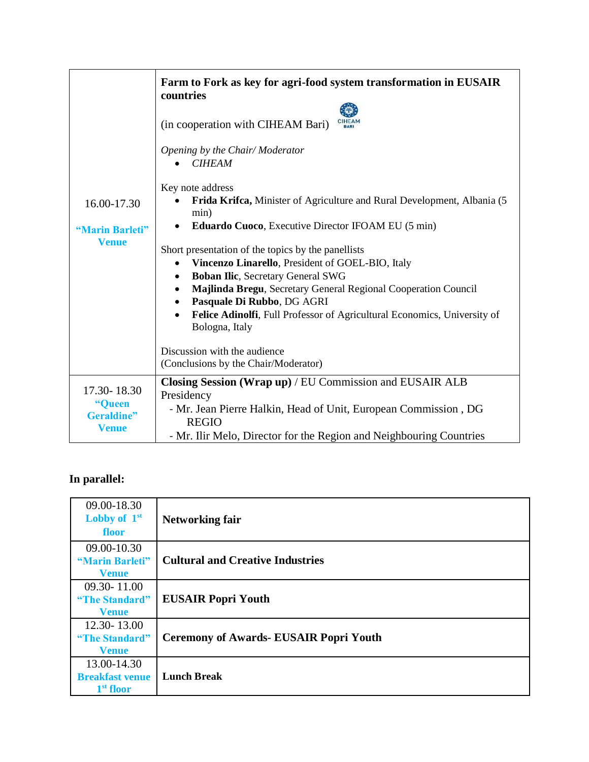|                                                     | Farm to Fork as key for agri-food system transformation in EUSAIR<br>countries                                                                                                                                                                                                                                                                        |
|-----------------------------------------------------|-------------------------------------------------------------------------------------------------------------------------------------------------------------------------------------------------------------------------------------------------------------------------------------------------------------------------------------------------------|
|                                                     | (in cooperation with CIHEAM Bari)                                                                                                                                                                                                                                                                                                                     |
|                                                     | Opening by the Chair/Moderator<br><b>CIHEAM</b>                                                                                                                                                                                                                                                                                                       |
| 16.00-17.30                                         | Key note address<br>Frida Krifca, Minister of Agriculture and Rural Development, Albania (5<br>min)                                                                                                                                                                                                                                                   |
| "Marin Barleti"                                     | Eduardo Cuoco, Executive Director IFOAM EU (5 min)                                                                                                                                                                                                                                                                                                    |
| <b>Venue</b>                                        | Short presentation of the topics by the panellists<br>Vincenzo Linarello, President of GOEL-BIO, Italy<br>٠<br><b>Boban Ilic, Secretary General SWG</b><br>Majlinda Bregu, Secretary General Regional Cooperation Council<br>Pasquale Di Rubbo, DG AGRI<br>Felice Adinolfi, Full Professor of Agricultural Economics, University of<br>Bologna, Italy |
|                                                     | Discussion with the audience<br>(Conclusions by the Chair/Moderator)                                                                                                                                                                                                                                                                                  |
| 17.30-18.30<br>"Queen<br>Geraldine"<br><b>Venue</b> | Closing Session (Wrap up) / EU Commission and EUSAIR ALB<br>Presidency<br>- Mr. Jean Pierre Halkin, Head of Unit, European Commission, DG<br><b>REGIO</b><br>- Mr. Ilir Melo, Director for the Region and Neighbouring Countries                                                                                                                      |

# **In parallel:**

| 09.00-18.30            |                                               |
|------------------------|-----------------------------------------------|
| Lobby of $1st$         | <b>Networking fair</b>                        |
| floor                  |                                               |
| 09.00-10.30            |                                               |
| "Marin Barleti"        | <b>Cultural and Creative Industries</b>       |
| <b>Venue</b>           |                                               |
| $09.30 - 11.00$        |                                               |
| "The Standard"         | <b>EUSAIR Popri Youth</b>                     |
| <b>Venue</b>           |                                               |
| 12.30-13.00            |                                               |
| "The Standard"         | <b>Ceremony of Awards- EUSAIR Popri Youth</b> |
| <b>Venue</b>           |                                               |
| 13.00-14.30            |                                               |
| <b>Breakfast venue</b> | <b>Lunch Break</b>                            |
| 1 <sup>st</sup> floor  |                                               |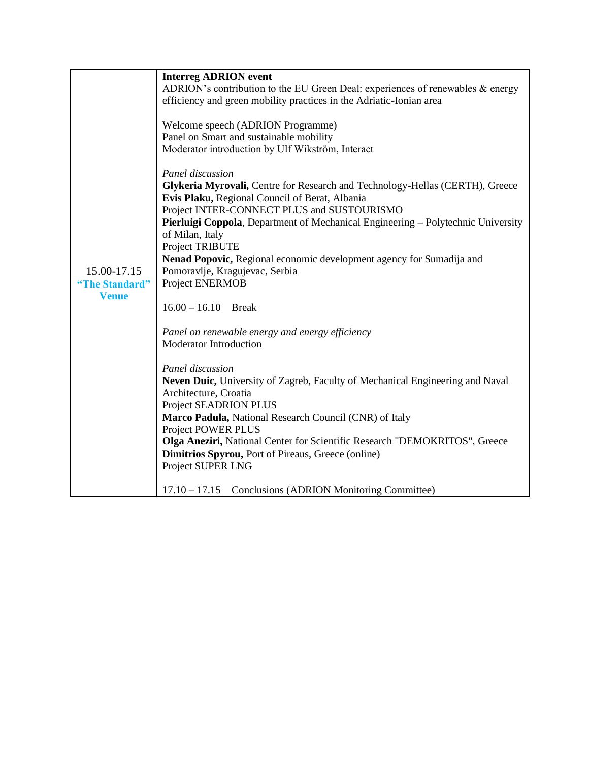|                | <b>Interreg ADRION</b> event                                                     |
|----------------|----------------------------------------------------------------------------------|
|                | ADRION's contribution to the EU Green Deal: experiences of renewables & energy   |
|                | efficiency and green mobility practices in the Adriatic-Ionian area              |
|                |                                                                                  |
|                | Welcome speech (ADRION Programme)                                                |
|                | Panel on Smart and sustainable mobility                                          |
|                | Moderator introduction by Ulf Wikström, Interact                                 |
|                |                                                                                  |
|                | Panel discussion                                                                 |
|                | Glykeria Myrovali, Centre for Research and Technology-Hellas (CERTH), Greece     |
|                | Evis Plaku, Regional Council of Berat, Albania                                   |
|                | Project INTER-CONNECT PLUS and SUSTOURISMO                                       |
|                | Pierluigi Coppola, Department of Mechanical Engineering – Polytechnic University |
|                | of Milan, Italy                                                                  |
|                | Project TRIBUTE                                                                  |
|                | Nenad Popovic, Regional economic development agency for Sumadija and             |
| 15.00-17.15    | Pomoravlje, Kragujevac, Serbia                                                   |
| "The Standard" | Project ENERMOB                                                                  |
| <b>Venue</b>   |                                                                                  |
|                | $16.00 - 16.10$ Break                                                            |
|                | Panel on renewable energy and energy efficiency                                  |
|                | <b>Moderator Introduction</b>                                                    |
|                |                                                                                  |
|                | Panel discussion                                                                 |
|                | Neven Duic, University of Zagreb, Faculty of Mechanical Engineering and Naval    |
|                | Architecture, Croatia                                                            |
|                | Project SEADRION PLUS                                                            |
|                | Marco Padula, National Research Council (CNR) of Italy                           |
|                | <b>Project POWER PLUS</b>                                                        |
|                | Olga Aneziri, National Center for Scientific Research "DEMOKRITOS", Greece       |
|                | <b>Dimitrios Spyrou, Port of Pireaus, Greece (online)</b>                        |
|                | Project SUPER LNG                                                                |
|                |                                                                                  |
|                | Conclusions (ADRION Monitoring Committee)<br>$17.10 - 17.15$                     |